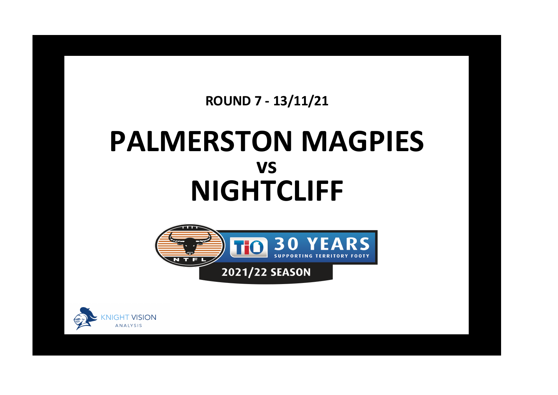## **ROUND 7 - 13/11/21**

## **PALMERSTON MAGPIES NIGHTCLIFF vs**



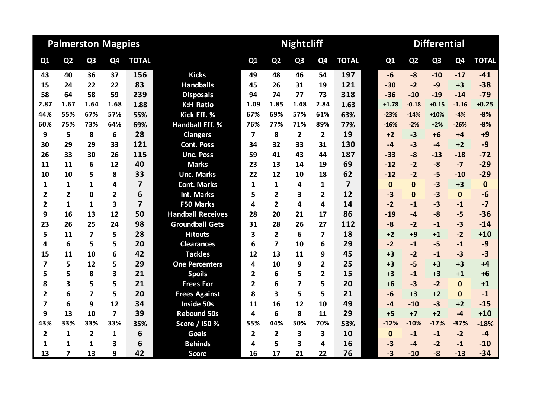| <b>Palmerston Magpies</b> |                          |                         |                |                |                          |                         |                         | <b>Nightcliff</b> |                |                | <b>Differential</b> |                |                |                |              |  |
|---------------------------|--------------------------|-------------------------|----------------|----------------|--------------------------|-------------------------|-------------------------|-------------------|----------------|----------------|---------------------|----------------|----------------|----------------|--------------|--|
| Q1                        | Q <sub>2</sub>           | Q <sub>3</sub>          | Q4             | <b>TOTAL</b>   |                          | Q1                      | Q <sub>2</sub>          | Q <sub>3</sub>    | Q <sub>4</sub> | <b>TOTAL</b>   | Q1                  | Q <sub>2</sub> | Q <sub>3</sub> | Q <sub>4</sub> | <b>TOTAL</b> |  |
| 43                        | 40                       | 36                      | 37             | 156            | <b>Kicks</b>             | 49                      | 48                      | 46                | 54             | 197            | $-6$                | $-8$           | $-10$          | $-17$          | $-41$        |  |
| 15                        | 24                       | 22                      | 22             | 83             | <b>Handballs</b>         | 45                      | 26                      | 31                | 19             | 121            | $-30$               | $-2$           | $-9$           | $+3$           | $-38$        |  |
| 58                        | 64                       | 58                      | 59             | 239            | <b>Disposals</b>         | 94                      | 74                      | 77                | 73             | 318            | $-36$               | $-10$          | $-19$          | $-14$          | $-79$        |  |
| 2.87                      | 1.67                     | 1.64                    | 1.68           | 1.88           | <b>K:H Ratio</b>         | 1.09                    | 1.85                    | 1.48              | 2.84           | 1.63           | $+1.78$             | $-0.18$        | $+0.15$        | $-1.16$        | $+0.25$      |  |
| 44%                       | 55%                      | 67%                     | 57%            | 55%            | Kick Eff. %              | 67%                     | 69%                     | 57%               | 61%            | 63%            | $-23%$              | $-14%$         | $+10%$         | $-4%$          | $-8%$        |  |
| 60%                       | 75%                      | 73%                     | 64%            | 69%            | <b>Handball Eff. %</b>   | 76%                     | 77%                     | 71%               | 89%            | 77%            | $-16%$              | $-2%$          | $+2%$          | $-26%$         | $-8%$        |  |
| 9                         | 5                        | 8                       | 6              | 28             | <b>Clangers</b>          | $\overline{\mathbf{z}}$ | 8                       | $\overline{2}$    | $\overline{2}$ | 19             | $+2$                | $-3$           | $+6$           | $+4$           | $+9$         |  |
| 30                        | 29                       | 29                      | 33             | 121            | <b>Cont. Poss</b>        | 34                      | 32                      | 33                | 31             | 130            | $-4$                | $-3$           | $-4$           | $+2$           | $-9$         |  |
| 26                        | 33                       | 30                      | 26             | 115            | <b>Unc. Poss</b>         | 59                      | 41                      | 43                | 44             | 187            | $-33$               | $-8$           | $-13$          | $-18$          | $-72$        |  |
| 11                        | 11                       | 6                       | 12             | 40             | <b>Marks</b>             | 23                      | 13                      | 14                | 19             | 69             | $-12$               | $-2$           | $-8$           | $-7$           | $-29$        |  |
| 10                        | 10                       | 5                       | 8              | 33             | <b>Unc. Marks</b>        | 22                      | 12                      | 10                | 18             | 62             | $-12$               | $-2$           | $-5$           | $-10$          | $-29$        |  |
| 1                         | 1                        | 1                       | 4              | $\overline{7}$ | <b>Cont. Marks</b>       | $\mathbf{1}$            | 1                       | 4                 | 1              | $\overline{7}$ | $\bf{0}$            | $\Omega$       | $-3$           | $+3$           | $\mathbf 0$  |  |
| $\overline{\mathbf{2}}$   | $\overline{2}$           | $\Omega$                | $\overline{2}$ | 6              | <b>Int. Marks</b>        | 5                       | $\overline{2}$          | 3                 | $\overline{2}$ | 12             | $-3$                | $\Omega$       | $-3$           | $\mathbf 0$    | $-6$         |  |
| $\overline{2}$            | $\mathbf{1}$             | 1                       | 3              | $\overline{7}$ | <b>F50 Marks</b>         | 4                       | $\overline{2}$          | 4                 | 4              | 14             | $-2$                | $-1$           | $-3$           | $-1$           | $-7$         |  |
| 9                         | 16                       | 13                      | 12             | 50             | <b>Handball Receives</b> | 28                      | 20                      | 21                | 17             | 86             | $-19$               | $-4$           | $-8$           | $-5$           | $-36$        |  |
| 23                        | 26                       | 25                      | 24             | 98             | <b>Groundball Gets</b>   | 31                      | 28                      | 26                | 27             | 112            | $-8$                | $-2$           | $-1$           | $-3$           | $-14$        |  |
| 5                         | 11                       | $\overline{\mathbf{z}}$ | 5              | 28             | <b>Hitouts</b>           | 3                       | $\overline{2}$          | 6                 | 7              | 18             | $+2$                | $+9$           | $+1$           | $-2$           | $+10$        |  |
| 4                         | 6                        | 5                       | 5              | 20             | <b>Clearances</b>        | 6                       | 7                       | 10                | 6              | 29             | $-2$                | $-1$           | $-5$           | $-1$           | $-9$         |  |
| 15                        | 11                       | 10                      | 6              | 42             | <b>Tackles</b>           | 12                      | 13                      | 11                | 9              | 45             | $+3$                | $-2$           | $-1$           | $-3$           | $-3$         |  |
| $\overline{\mathbf{z}}$   | 5                        | 12                      | 5              | 29             | <b>One Percenters</b>    | 4                       | 10                      | 9                 | $\overline{2}$ | 25             | $+3$                | $-5$           | $+3$           | $+3$           | $+4$         |  |
| 5                         | 5                        | 8                       | 3              | 21             | <b>Spoils</b>            | $\overline{2}$          | 6                       | 5                 | $\mathbf{2}$   | 15             | $+3$                | $-1$           | $+3$           | $+1$           | $+6$         |  |
| 8                         | 3                        | 5                       | 5              | 21             | <b>Frees For</b>         | 2                       | 6                       | 7                 | 5              | 20             | $+6$                | $-3$           | $-2$           | $\mathbf{0}$   | $+1$         |  |
| $\overline{2}$            | 6                        | 7                       | 5              | 20             | <b>Frees Against</b>     | 8                       | $\overline{\mathbf{3}}$ | 5                 | 5              | 21             | $-6$                | $+3$           | $+2$           | $\mathbf{0}$   | $-1$         |  |
| $\overline{7}$            | 6                        | 9                       | 12             | 34             | Inside 50s               | 11                      | 16                      | 12                | 10             | 49             | $-4$                | $-10$          | $-3$           | $+2$           | $-15$        |  |
| 9                         | 13                       | 10                      | 7              | 39             | <b>Rebound 50s</b>       | 4                       | 6                       | 8                 | 11             | 29             | $+5$                | $+7$           | $+2$           | $-4$           | $+10$        |  |
| 43%                       | 33%                      | 33%                     | 33%            | 35%            | Score / 150 %            | 55%                     | 44%                     | 50%               | 70%            | 53%            | $-12%$              | $-10%$         | $-17%$         | $-37%$         | $-18%$       |  |
| $\overline{\mathbf{2}}$   | 1                        | $\overline{2}$          | 1              | 6              | <b>Goals</b>             | $\overline{2}$          | $\overline{2}$          | 3                 | 3              | 10             | $\mathbf{0}$        | $-1$           | $-1$           | $-2$           | $-4$         |  |
| 1                         | 1                        | 1                       | 3              | 6              | <b>Behinds</b>           | 4                       | 5                       | 3                 | 4              | 16             | $-3$                | -4             | $-2$           | $-1$           | $-10$        |  |
| 13                        | $\overline{\phantom{a}}$ | 13                      | 9              | 42             | <b>Score</b>             | 16                      | 17                      | 21                | 22             | 76             | $-3$                | $-10$          | $-8$           | $-13$          | $-34$        |  |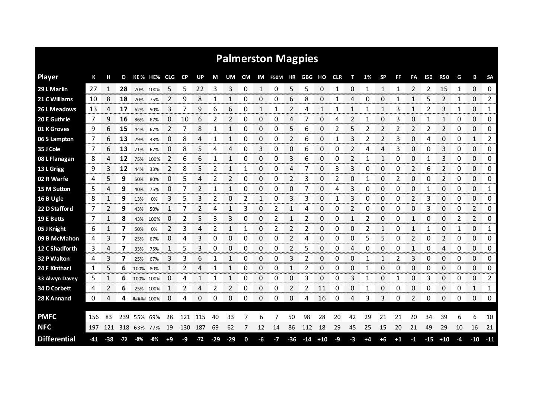| <b>Palmerston Magpies</b> |     |       |         |      |            |                |           |       |       |                |           |    |         |                |                                  |       |            |    |    |                |      |      |       |                |                |              |                        |
|---------------------------|-----|-------|---------|------|------------|----------------|-----------|-------|-------|----------------|-----------|----|---------|----------------|----------------------------------|-------|------------|----|----|----------------|------|------|-------|----------------|----------------|--------------|------------------------|
| <b>Player</b>             | К   |       | D       |      | KE % HE%   | CLG.           | <b>CP</b> | UP    | М     | UM             | <b>CM</b> | IM | F50M HR |                | $\mathsf{G}\mathsf{B}\mathsf{G}$ | но    | <b>CLR</b> | т  | 1% | <b>SP</b>      | FF   | FA   | 150   | <b>R50</b>     | G              | в            | <b>SA</b>              |
| 29 L Marlin               | 27  |       | 28      | 70%  | 100%       | 5              | 5         | 22    | 3     | 3              | 0         | 1  | 0       | 5              | 5                                | 0     |            | 0  |    |                |      | 2    | 2     | 15             | 1              | 0            | 0                      |
| 21 C Williams             | 10  | 8     | 18      | 70%  | 75%        | 2              | 9         | 8     | 1     | 1              | 0         | 0  | 0       | 6              | 8                                | 0     | 1          | 4  | 0  | 0              | 1    | 1    | 5     | 2              | 1              | 0            | $\mathbf{2}$           |
| 26 L Meadows              | 13  | 4     | 17      | 62%  | 50%        | 3              | 7         | 9     | 6     | 6              | 0         | 1  | 1       | 2              | 4                                | 1     |            | 1  |    | 1              | 3    | 1    | 2     | 3              |                | 0            | 1                      |
| 20 E Guthrie              | 7   | 9     | 16      | 86%  | 67%        | 0              | 10        | 6     | 2     | 2              | 0         | 0  | 0       | 4              | 7                                | 0     | 4          | 2  | 1  | 0              | 3    | 0    | 1     | 1              | 0              | $\Omega$     | 0                      |
| 01 K Groves               | 9   | 6     | 15      | 44%  | 67%        | 2              | 7         | 8     | 1     | 1              | 0         | 0  | 0       | 5              | 6                                | 0     | 2          | 5  | 2  | 2              | 2    | 2    | 2     | 2              | 0              | 0            | 0                      |
| 06 S Lampton              | 7   | 6     | 13      | 29%  | 33%        | 0              | 8         | 4     | 1     | 1              | 0         | 0  | 0       | $\overline{2}$ | 6                                | 0     | 1          | 3  | 2  | $\overline{2}$ | 3    | 0    | 4     | 0              | 0              | $\mathbf{1}$ | 2                      |
| 35 J Cole                 | 7   | 6     | 13      | 71%  | 67%        | 0              | 8         | 5     | 4     | 4              | 0         | 3  | 0       | 0              | 6                                | 0     | 0          | 2  | 4  | 4              | 3    | 0    | 0     | 3              | 0              | 0            | 0                      |
| 08 L Flanagan             | 8   | 4     | 12      | 75%  | 100%       | $\overline{2}$ | 6         | 6     | 1     | 1              | 0         | 0  | 0       | 3              | 6                                | 0     | 0          | 2  | 1  | 1              | 0    | 0    | 1     | 3              | 0              | 0            | 0                      |
| 13 L Grigg                | 9   | 3     | 12      | 44%  | 33%        | 2              | 8         | 5     | 2     | 1              | 1         | 0  | 0       | 4              | 7                                | 0     | 3          | 3  | 0  | 0              | 0    | 2    | 6     | $\overline{2}$ | 0              | 0            | 0                      |
| 02 R Warfe                | 4   | 5.    | 9       | 50%  | 80%        | 0              | 5         | 4     | 2     | $\overline{2}$ | 0         | 0  | 0       | $\overline{2}$ | 3                                | 0     | 2          | 0  | 1  | 0              | 2    | 0    | 0     | $\overline{2}$ | 0              | 0            | 0                      |
| 15 M Sutton               | 5   | 4     | 9       | 40%  | 75%        | 0              | 7         |       | 1     | 1              | 0         | 0  | 0       | 0              |                                  | 0     | 4          | 3  | 0  | 0              | 0    | 0    | -1    | 0              | 0              | 0            | 1                      |
| 16 B Ugle                 | 8   | 1     | 9       | 13%  | 0%         | 3              | 5         | 3     | 2     | 0              | 2         | 1  | 0       | 3              | 3                                | 0     | 1          | 3  | 0  | 0              | 0    | 2    | 3     | 0              | 0              | 0            | 0                      |
| 22 D Stafford             | 7   | 2     | 9       | 43%  | 50%        | 1              | 7         | 2     | 4     | 1              | 3         | 0  | 2       | 1              | 4                                | 0     | 0          | 2  | 0  | 0              | 0    | 0    | 3     | 0              | 0              | 2            | 0                      |
| 19 E Betts                | 7   | 1     | 8       | 43%  | 100%       | 0              | 2         | 5     | 3     | 3              | 0         | 0  | 2       | 1              | 2                                | 0     | 0          | 1  | 2  | 0              | 0    | 1    | 0     | 0              | $\overline{2}$ | 2<br>on oraș | 0                      |
| 05 J Knight               | 6   |       |         | 50%  | 0%         | $\overline{2}$ | 3         | 4     |       |                | 1         | 0  | 2       | 2              | 2                                | 0     | Ω          | 0  | 2  |                | ი    | 1    |       | 0              |                | 0            | 1                      |
| 09 B McMahon              | 4   | 3     | 7       | 25%  | 67%        | 0              | 4         | 3     | 0     | 0              | 0         | 0  | 0       | 2              | 4                                | 0     | 0          | 0  | 5  | 5              | 0    | 2    | 0     | 2<br>anana a   | 0              | 0<br>an ann  | 0<br><b>CONTRACTOR</b> |
| 12 C Shadforth            | 3   | 4     | 7       | 33%  | 75%        |                | 5         | 3     | 0     | 0              | 0         | 0  | 0       | 2              | 5                                | 0     | 0          | 4  | 0  | 0              | 0    | 1    | 0     | 4              | 0              | 0            | 0                      |
| 32 P Walton               | 4   | 3     | 7       | 25%  | 67%        | 3              | 3         | 6     | 1     | 1              | 0         | 0  | 0       | 3              | 2                                | 0     | 0          | 0  | 1  | 1              | 2    | 3    | 0     | 0              | 0              | 0            | 0                      |
| 24 F Kinthari             | 1   | 5     | 6       | 100% | 80%        |                | 2         | 4     | 1     | 1              | 0         | 0  | 0       | $\mathbf{1}$   | 2                                | 0     | 0          | 0  |    | 0              | 0    | 0    | 0     | 0              | 0              | 0            | 0                      |
| 33 Alwyn Davey            | 5   | 1     | 6       |      | 100% 100%  | 0              | 4         |       | 1     | 1              | 0         | 0  | 0       | 0              | 3                                | 0     | 0          | 3  | 1  | 0              | 1    | 0    | 3     | 0              | 0              | 0            | 2                      |
| 34 D Corbett              | 4   | 2     | 6       |      | 25% 100%   |                | 2         | 4     | 2     | 2              | 0         | 0  | 0       | 2              | 2                                | 11    | 0          | 0  |    | 0              | 0    | 0    | 0     | 0              | 0              | 1            | 1                      |
| 28 K Annand               | 0   | 4     | 4       |      | ##### 100% | 0              | 4         | 0     | 0     | 0              | 0         | 0  | 0       | 0              | 4                                | 16    | 0          | 4  | 3  | 3              | 0    | 2    | 0     | 0              | 0              | 0            | 0                      |
| <b>PMFC</b>               | 156 | 83    | 239     |      | 55% 69%    | 28             | 121       | 115   | 40    | 33             |           | 6  |         | 50             | 98                               | 28    | 20         | 42 | 29 | 21             | 21   | 20   | 34    | 39             | 6              | 6            | 10                     |
| <b>NFC</b>                | 197 |       | 121 318 |      | 63% 77%    | 19             | 130       | 187   | 69    | 62             | 7         | 12 | 14      | 86             | 112                              | 18    | 29         | 45 | 25 | 15             | 20   | 21   | 49    | 29             | 10             | 16           | 21                     |
| <b>Differential</b>       | -41 | $-38$ | $-79$   | -8%  | -8%        | +9             | -9        | $-72$ | $-29$ | $-29$          | 0         | -6 | $-7$    | $-36$          | $-14$                            | $+10$ | $-9$       | -3 | +4 | +6             | $+1$ | $-1$ | $-15$ | $+10$          | -4             | $-10$        | $-11$                  |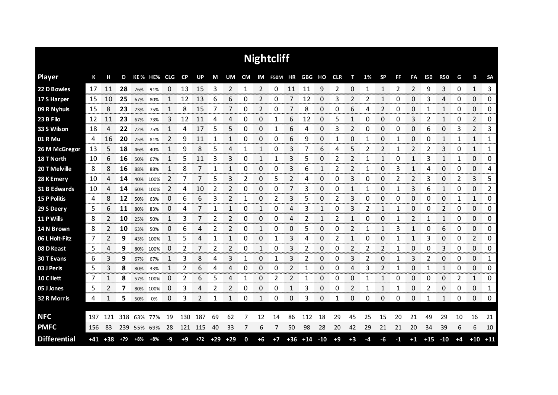|                     | <b>Nightcliff</b> |       |               |     |             |                    |           |                         |       |                |   |                        |                          |                 |       |                     |                |                |    |                |                |                 |                        |                             |              |                               |                    |
|---------------------|-------------------|-------|---------------|-----|-------------|--------------------|-----------|-------------------------|-------|----------------|---|------------------------|--------------------------|-----------------|-------|---------------------|----------------|----------------|----|----------------|----------------|-----------------|------------------------|-----------------------------|--------------|-------------------------------|--------------------|
| <b>Player</b>       | К                 | н     | D             |     | KE% HE% CLG |                    | CP        | <b>UP</b>               | М     | UM             |   |                        | CM IM F50M HR GBG HO CLR |                 |       |                     |                | т              | 1% | <b>SP</b>      | <b>FF</b>      | FA              | <b>I50</b>             | <b>R50</b>                  | G            | B                             | <b>SA</b>          |
| 22 D Bowles         | 17                | 11    | 28            | 76% | 91%         | 0                  | 13        | 15                      | 3     | 2              | 1 | 2                      | 0                        | 11              | 11    | 9                   | 2              | 0              | 1  | $\mathbf{1}$   | $\overline{2}$ | $\overline{2}$  | 9                      | 3                           | 0            | 1                             | 3                  |
| 17 S Harper         | 15                | 10    | 25            | 67% | 80%         |                    | 12        | 13                      | 6     | 6              | 0 | 2                      | 0                        | 7               | 12    | 0                   | 3              | 2              | 2  |                | 0              | 0               | 3                      | 4                           | 0            | 0                             | 0                  |
| 09 R Nyhuis         | 15                | 8     | 23            | 73% | 75%         | 1                  | 8         | 15                      | 7     | 7              | 0 | 2                      | 0                        | 7               | 8     | 0                   | 0              | 6              | 4  | $\overline{2}$ | 0              | 0               | 1                      | $\mathbf{1}$                | 0            | 0                             | 0                  |
| 23 B Filo           | 12                | 11    | 23            | 67% | 73%         | 3                  | 12        | 11                      | 4     | 4              | 0 | 0                      | 1                        | 6               | 12    | 0                   | 5              | 1              | 0  | 0              | 0              | 3               | 2                      | 1                           | 0            | 2                             | 0                  |
| 33 S Wilson         | 18                | 4     | 22            | 72% | 75%         | 1                  | 4         | 17                      | 5     | 5              | 0 | $\mathbf 0$            | 1                        | 6               | 4     | 0                   | 3              | $\overline{2}$ | 0  | 0              | 0              | 0               | 6                      | 0                           | 3            | $\overline{2}$                | 3                  |
| 01 R Mu             | 4                 | 16    | 20            | 75% | 81%         | 2                  | 9         | 11                      | 1     | 1              | 0 | 0                      | 0                        | 6               | 9     | 0                   | 1              | 0              | -1 | 0              | 1              | 0               | 0                      | $\mathbf{1}$                | 1            | 1                             | 1                  |
| 26 M McGregor       | 13                | 5     | 18            | 46% | 40%         | 1                  | 9         | 8                       | 5     | 4              | 1 | 1                      | 0                        | 3               | 7     | 6                   | 4              | 5              | 2  | $\overline{2}$ | 1              | $\overline{2}$  | 2                      | 3                           | 0            | $\mathbf{1}$                  | 1                  |
| 18 T North          | 10                | 6     | 16            | 50% | 67%         | 1                  | 5         | 11                      | 3     | 3              | 0 | 1                      | 1                        | 3               | 5     | 0                   | $\overline{2}$ | 2              | 1  | 1              | 0              | 1               | 3                      | $\mathbf{1}$                | 1            | 0                             | 0                  |
| 20 T Melville       | 8                 | 8     | 16            | 88% | 88%         | 1                  | 8         | 7                       | 1     | 1              | 0 | $\mathbf 0$            | 0                        | 3               | 6     | 1                   | 2              | $\overline{2}$ | 1  | 0              | 3              | 1               | 4                      | 0                           | 0            | 0                             | 4                  |
| 28 K Emery          | 10                | 4     | 14            | 40% | 100%        | 2                  | 7         | 7                       | 5     | 3              | 2 | 0                      | 5                        | 2               | 4     | 0                   | 0              | 3              | 0  | 0              | 2              | $\overline{2}$  | 3                      | 0                           | 2            | 3                             | 5                  |
| 31 B Edwards        | 10                | 4     | 14            | 60% | 100%        | 2                  | 4         | 10                      | 2     | 2              | 0 | 0                      | 0                        | 7               | 3     | 0                   | 0              | 1              | 1  | 0              | 1              | 3               | 6                      | 1                           | 0            | 0                             | 2                  |
| <b>15 P Politis</b> | 4                 | 8     | 12            | 50% | 63%         | 0                  | 6         | 6                       | 3     | 2              | 1 | 0                      | 2                        | 3               | 5     | 0                   | 2              | 3              | 0  | 0              | 0              | 0               | 0                      | 0                           | 1            | 1                             | 0                  |
| 29 S Deery          | 5                 | 6     | 11            | 80% | 83%         | $\Omega$           | 4         |                         | 1     | $\mathbf{1}$   | 0 | 1                      | 0                        | 4               | 3     | 1                   | 0              | 3              | 2  | 1              | 1              | 0               | 0                      | $\overline{2}$              | 0            | 0                             | 0                  |
| 11 P Wills          | 8                 |       | 10            | 25% | 50%         | 1                  | 3         |                         | 2     | 2              | 0 | 0                      | 0                        | Δ               | 2     |                     | 2              | 1              | 0  | 0              |                | 2               |                        | 1                           | 0            | 0                             | 0                  |
| 14 N Brown          | 8                 | 2     | 10            | 63% | 50%         | 0<br>------------- | 6         | 4                       | 2     | 2              | 0 |                        | 0                        | 0               | 5     | 0                   | Ω              | 2              | 1  |                | 3              |                 | 0                      | 6<br>an an an a             | 0            | 0<br><b>The Concert of Co</b> | 0<br>anana a       |
| 06 L Holt-Fitz      | 7                 |       | 9<br>an an an | 43% | 100%        | -----------        | 5         | Δ                       |       |                | 0 | Ω<br>annon a           |                          | 3               | 4     | Ω<br><b>Service</b> |                |                | O  | Ω              |                | n menenga       | 3                      | 0<br>manan m                | 0<br>monor   | 2<br>omorron.                 | 0<br><b>DOM NO</b> |
| 08 D Keast          | 5                 | 4     | 9             | 80% | 100%        | 0                  | 2         | an an an a              | 2     | 2<br>anan masa | 0 |                        | 0                        | 3               | 2     | 0<br>an an a        | 0              | 2              | 2  | 2              |                | 0<br>ana an     | 0                      | 3<br><b>www.com</b>         | 0            | 0<br>ana ana an               | 0<br>nananan       |
| 30 T Evans          | 6                 | 3     | 9             | 67% | 67%         |                    | 3         | 8                       | 4     | 3              |   | 0                      |                          | 3               |       | 0                   | Ω              | 3              |    | 0              |                | 3               |                        | 0                           | 0            | 0                             | 1                  |
| 03 J Peris          | 5                 | 3     | 8             | 80% | 33%         | 1                  | 2         | 6                       | 4     | 4              | 0 | 0                      | 0                        | 2               |       | 0                   | 0              | 4              | 3  | 2              |                | 0               |                        | 1                           | 0            | 0                             | 0                  |
| 10 C Ilett          | 7                 |       | 8             | 57% | 100%        | O<br>----------    | 2<br>mmmm | 6<br><b>DESCRIPTION</b> | 5     | 4              | 1 | 0<br><b>CONTRACTOR</b> | 2                        | 2<br>---------- | 1     | 0<br>an an an       | Ω              | 0<br>manan a   | 1  |                | 0              | 0<br>omoro este | 0<br><b>CONTRACTOR</b> | 0<br><b>TOTAL CONTINUES</b> | 2<br>mananan | 1<br>anananana                | 0<br>onarana a     |
| 05 J Jones          | 5                 | 2     | 7             | 80% | 100%        | 0                  | 3         | 4                       | 2     | 2              | 0 | 0<br><b>Service</b>    | 0                        |                 | 3     | 0                   | 0              | 2              |    |                |                | 0               | 2                      | 0<br>anan men               | 0            | 0                             | 1<br>ana ana       |
| 32 R Morris         | 4                 | 1     | 5.            | 50% | 0%          | 0                  | 3         | 2                       |       | 1              | 0 | 1                      | 0                        | 0               | 3     | 0                   | 1              | 0              | 0  | 0              | 0              | 0               | 1                      | 1                           | 0            | 0                             | 0                  |
|                     |                   |       |               |     |             |                    |           |                         |       |                |   |                        |                          |                 |       |                     |                |                |    |                |                |                 |                        |                             |              |                               |                    |
| <b>NFC</b>          | 197               | 121   | 318           | 63% | 77%         | 19                 | 130       | 187                     | 69    | 62             | 7 | 12                     | 14                       | 86              | 112   | 18                  | 29             | 45             | 25 | 15             | 20             | 21              | 49                     | 29                          | 10           | 16                            | 21                 |
| <b>PMFC</b>         | 156               | -83   | 239           |     | 55% 69%     | 28                 | 121       | 115                     | 40    | 33             | 7 | 6                      | 7                        | 50              | 98    | 28                  | 20             | 42             | 29 | 21             | 21             | 20              | 34                     | 39                          | 6            | 6                             | 10                 |
| <b>Differential</b> | +41               | $+38$ | $+79$         | +8% | $+8%$       | -9                 | $+9$      | $+72$                   | $+29$ | $+29$          | 0 | $+6$                   | $+7$                     | $+36$           | $+14$ | $-10$               | $+9$           | $+3$           | -4 | -6             | -1             | $+1$            | $+15$                  | $-10$                       | $+4$         | $+10$                         | $+11$              |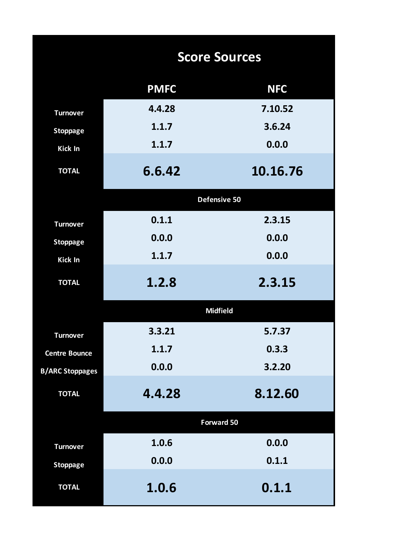|                        | <b>Score Sources</b> |                 |  |  |  |  |  |  |  |  |  |
|------------------------|----------------------|-----------------|--|--|--|--|--|--|--|--|--|
|                        | <b>PMFC</b>          | <b>NFC</b>      |  |  |  |  |  |  |  |  |  |
| <b>Turnover</b>        | 4.4.28               | 7.10.52         |  |  |  |  |  |  |  |  |  |
| <b>Stoppage</b>        | 1.1.7                | 3.6.24          |  |  |  |  |  |  |  |  |  |
| <b>Kick In</b>         | 1.1.7                | 0.0.0           |  |  |  |  |  |  |  |  |  |
| <b>TOTAL</b>           | 6.6.42               | 10.16.76        |  |  |  |  |  |  |  |  |  |
|                        |                      | Defensive 50    |  |  |  |  |  |  |  |  |  |
| <b>Turnover</b>        | 0.1.1                | 2.3.15          |  |  |  |  |  |  |  |  |  |
| <b>Stoppage</b>        | 0.0.0                | 0.0.0           |  |  |  |  |  |  |  |  |  |
| <b>Kick In</b>         | 1.1.7                | 0.0.0           |  |  |  |  |  |  |  |  |  |
| <b>TOTAL</b>           | 1.2.8                | 2.3.15          |  |  |  |  |  |  |  |  |  |
|                        |                      | <b>Midfield</b> |  |  |  |  |  |  |  |  |  |
| <b>Turnover</b>        | 3.3.21               | 5.7.37          |  |  |  |  |  |  |  |  |  |
| <b>Centre Bounce</b>   | 1.1.7                | 0.3.3           |  |  |  |  |  |  |  |  |  |
| <b>B/ARC Stoppages</b> | 0.0.0                | 3.2.20          |  |  |  |  |  |  |  |  |  |
| <b>TOTAL</b>           | 4.4.28               | 8.12.60         |  |  |  |  |  |  |  |  |  |
|                        |                      | Forward 50      |  |  |  |  |  |  |  |  |  |
| <b>Turnover</b>        | 1.0.6                | 0.0.0           |  |  |  |  |  |  |  |  |  |
| <b>Stoppage</b>        | 0.0.0                | 0.1.1           |  |  |  |  |  |  |  |  |  |
| <b>TOTAL</b>           | 1.0.6                | 0.1.1           |  |  |  |  |  |  |  |  |  |